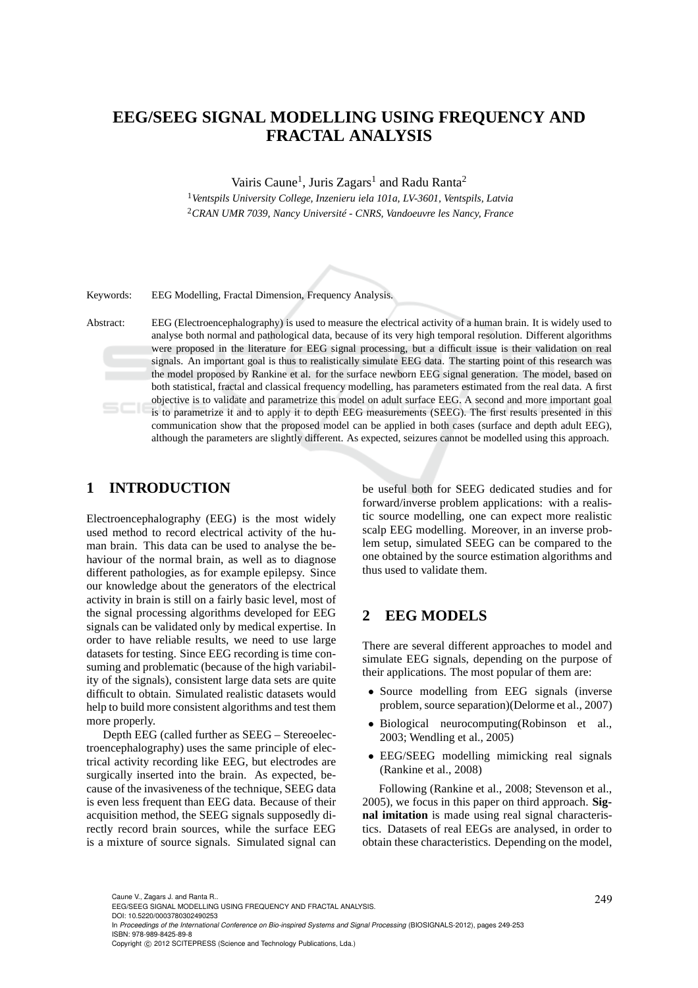# **EEG/SEEG SIGNAL MODELLING USING FREQUENCY AND FRACTAL ANALYSIS**

Vairis Caune<sup>1</sup>, Juris Zagars<sup>1</sup> and Radu Ranta<sup>2</sup>

<sup>1</sup>*Ventspils University College, Inzenieru iela 101a, LV-3601, Ventspils, Latvia* <sup>2</sup>*CRAN UMR 7039, Nancy Université - CNRS, Vandoeuvre les Nancy, France*

Keywords: EEG Modelling, Fractal Dimension, Frequency Analysis.

Abstract: EEG (Electroencephalography) is used to measure the electrical activity of a human brain. It is widely used to analyse both normal and pathological data, because of its very high temporal resolution. Different algorithms were proposed in the literature for EEG signal processing, but a difficult issue is their validation on real signals. An important goal is thus to realistically simulate EEG data. The starting point of this research was the model proposed by Rankine et al. for the surface newborn EEG signal generation. The model, based on both statistical, fractal and classical frequency modelling, has parameters estimated from the real data. A first objective is to validate and parametrize this model on adult surface EEG. A second and more important goal is to parametrize it and to apply it to depth EEG measurements (SEEG). The first results presented in this communication show that the proposed model can be applied in both cases (surface and depth adult EEG), although the parameters are slightly different. As expected, seizures cannot be modelled using this approach.

## **1 INTRODUCTION**

Electroencephalography (EEG) is the most widely used method to record electrical activity of the human brain. This data can be used to analyse the behaviour of the normal brain, as well as to diagnose different pathologies, as for example epilepsy. Since our knowledge about the generators of the electrical activity in brain is still on a fairly basic level, most of the signal processing algorithms developed for EEG signals can be validated only by medical expertise. In order to have reliable results, we need to use large datasets for testing. Since EEG recording is time consuming and problematic (because of the high variability of the signals), consistent large data sets are quite difficult to obtain. Simulated realistic datasets would help to build more consistent algorithms and test them more properly.

Depth EEG (called further as SEEG – Stereoelectroencephalography) uses the same principle of electrical activity recording like EEG, but electrodes are surgically inserted into the brain. As expected, because of the invasiveness of the technique, SEEG data is even less frequent than EEG data. Because of their acquisition method, the SEEG signals supposedly directly record brain sources, while the surface EEG is a mixture of source signals. Simulated signal can be useful both for SEEG dedicated studies and for forward/inverse problem applications: with a realistic source modelling, one can expect more realistic scalp EEG modelling. Moreover, in an inverse problem setup, simulated SEEG can be compared to the one obtained by the source estimation algorithms and thus used to validate them.

## **2 EEG MODELS**

There are several different approaches to model and simulate EEG signals, depending on the purpose of their applications. The most popular of them are:

- Source modelling from EEG signals (inverse problem, source separation)(Delorme et al., 2007)
- Biological neurocomputing(Robinson et al., 2003; Wendling et al., 2005)
- EEG/SEEG modelling mimicking real signals (Rankine et al., 2008)

Following (Rankine et al., 2008; Stevenson et al., 2005), we focus in this paper on third approach. **Signal imitation** is made using real signal characteristics. Datasets of real EEGs are analysed, in order to obtain these characteristics. Depending on the model,

Copyright © 2012 SCITEPRESS (Science and Technology Publications, Lda.)

<sup>249</sup> Caune V., Zagars J. and Ranta R.. EEG/SEEG SIGNAL MODELLING USING FREQUENCY AND FRACTAL ANALYSIS. DOI: 10.5220/0003780302490253

In *Proceedings of the International Conference on Bio-inspired Systems and Signal Processing* (BIOSIGNALS-2012), pages 249-253 ISBN: 978-989-8425-89-8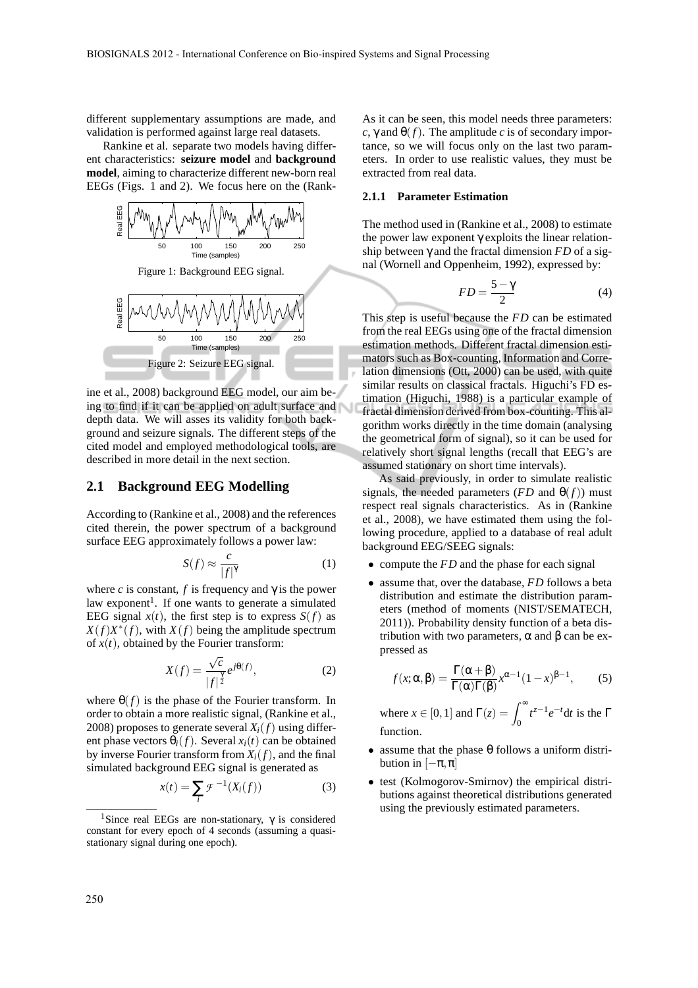different supplementary assumptions are made, and validation is performed against large real datasets.

Rankine et al. separate two models having different characteristics: **seizure model** and **background model**, aiming to characterize different new-born real EEGs (Figs. 1 and 2). We focus here on the (Rank-



Figure 1: Background EEG signal.



ine et al., 2008) background EEG model, our aim being to find if it can be applied on adult surface and depth data. We will asses its validity for both background and seizure signals. The different steps of the cited model and employed methodological tools, are described in more detail in the next section.

#### **2.1 Background EEG Modelling**

According to (Rankine et al., 2008) and the references cited therein, the power spectrum of a background surface EEG approximately follows a power law:

$$
S(f) \approx \frac{c}{|f|^{\gamma}}
$$
 (1)

where *c* is constant, *f* is frequency and  $\gamma$  is the power law exponent<sup>1</sup>. If one wants to generate a simulated EEG signal  $x(t)$ , the first step is to express  $S(f)$  as  $X(f)X^*(f)$ , with  $X(f)$  being the amplitude spectrum of  $x(t)$ , obtained by the Fourier transform:

$$
X(f) = \frac{\sqrt{c}}{|f|^{\frac{\gamma}{2}}} e^{j\theta(f)},\tag{2}
$$

where  $\theta(f)$  is the phase of the Fourier transform. In order to obtain a more realistic signal, (Rankine et al., 2008) proposes to generate several  $X_i(f)$  using different phase vectors  $\theta_i(f)$ . Several  $x_i(t)$  can be obtained by inverse Fourier transform from  $X_i(f)$ , and the final simulated background EEG signal is generated as

$$
x(t) = \sum_{i} \mathcal{F}^{-1}(X_i(f))
$$
 (3)

As it can be seen, this model needs three parameters:  $c, \gamma$  and  $\theta(f)$ . The amplitude *c* is of secondary importance, so we will focus only on the last two parameters. In order to use realistic values, they must be extracted from real data.

#### **2.1.1 Parameter Estimation**

The method used in (Rankine et al., 2008) to estimate the power law exponent γ exploits the linear relationship between  $\gamma$  and the fractal dimension  $FD$  of a signal (Wornell and Oppenheim, 1992), expressed by:

$$
FD = \frac{5 - \gamma}{2} \tag{4}
$$

This step is useful because the *FD* can be estimated from the real EEGs using one of the fractal dimension estimation methods. Different fractal dimension estimators such as Box-counting, Information and Correlation dimensions (Ott, 2000) can be used, with quite similar results on classical fractals. Higuchi's FD estimation (Higuchi, 1988) is a particular example of fractal dimension derived from box-counting. This algorithm works directly in the time domain (analysing the geometrical form of signal), so it can be used for relatively short signal lengths (recall that EEG's are assumed stationary on short time intervals).

As said previously, in order to simulate realistic signals, the needed parameters ( $FD$  and  $\theta(f)$ ) must respect real signals characteristics. As in (Rankine et al., 2008), we have estimated them using the following procedure, applied to a database of real adult background EEG/SEEG signals:

- compute the *FD* and the phase for each signal
- assume that, over the database, *FD* follows a beta distribution and estimate the distribution parameters (method of moments (NIST/SEMATECH, 2011)). Probability density function of a beta distribution with two parameters,  $\alpha$  and  $\beta$  can be expressed as

$$
f(x; \alpha, \beta) = \frac{\Gamma(\alpha + \beta)}{\Gamma(\alpha)\Gamma(\beta)} x^{\alpha - 1} (1 - x)^{\beta - 1},
$$
 (5)

where  $x \in [0, 1]$  and  $\Gamma(z) = \int_0^\infty t^{z-1} e^{-t} dt$  is the  $\Gamma$ function.

- assume that the phase  $\theta$  follows a uniform distribution in  $[-\pi, \pi]$
- test (Kolmogorov-Smirnov) the empirical distributions against theoretical distributions generated using the previously estimated parameters.

<sup>&</sup>lt;sup>1</sup>Since real EEGs are non-stationary,  $\gamma$  is considered constant for every epoch of 4 seconds (assuming a quasistationary signal during one epoch).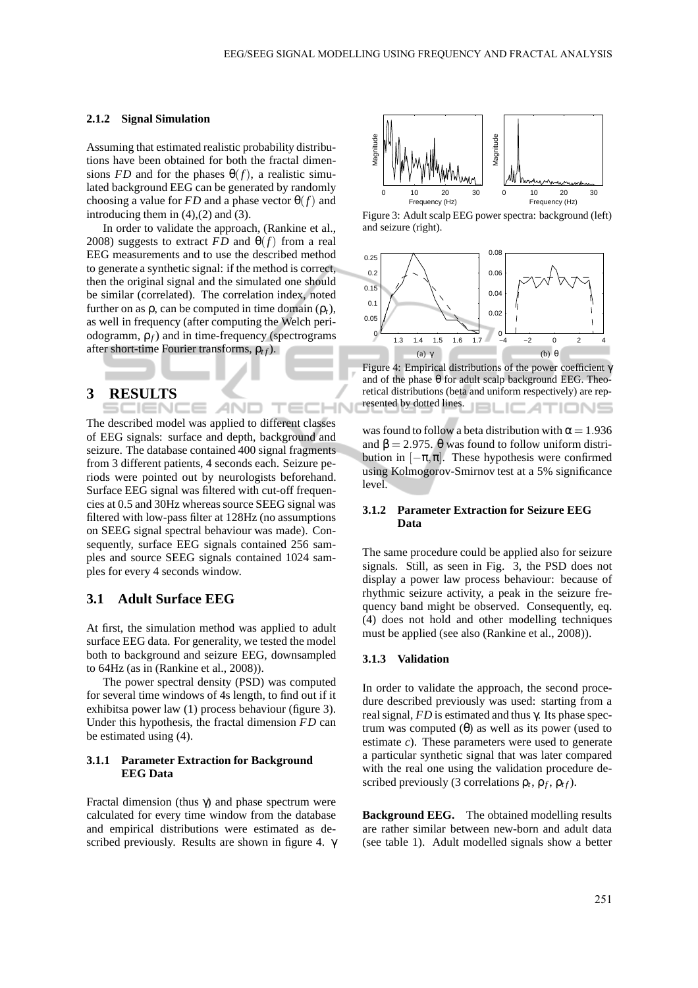#### **2.1.2 Signal Simulation**

Assuming that estimated realistic probability distributions have been obtained for both the fractal dimensions *FD* and for the phases  $\theta(f)$ , a realistic simulated background EEG can be generated by randomly choosing a value for *FD* and a phase vector  $\theta(f)$  and introducing them in  $(4)$ , $(2)$  and  $(3)$ .

In order to validate the approach, (Rankine et al., 2008) suggests to extract  $FD$  and  $\theta(f)$  from a real EEG measurements and to use the described method to generate a synthetic signal: if the method is correct, then the original signal and the simulated one should be similar (correlated). The correlation index, noted further on as  $\rho$ , can be computed in time domain  $(\rho_t)$ , as well in frequency (after computing the Welch periodogramm, ρ*f*) and in time-frequency (spectrograms after short-time Fourier transforms, ρ*t f*).

### **3 RESULTS**

The described model was applied to different classes of EEG signals: surface and depth, background and seizure. The database contained 400 signal fragments from 3 different patients, 4 seconds each. Seizure periods were pointed out by neurologists beforehand. Surface EEG signal was filtered with cut-off frequencies at 0.5 and 30Hz whereas source SEEG signal was filtered with low-pass filter at 128Hz (no assumptions on SEEG signal spectral behaviour was made). Consequently, surface EEG signals contained 256 samples and source SEEG signals contained 1024 samples for every 4 seconds window.

ANI

#### **3.1 Adult Surface EEG**

At first, the simulation method was applied to adult surface EEG data. For generality, we tested the model both to background and seizure EEG, downsampled to 64Hz (as in (Rankine et al., 2008)).

The power spectral density (PSD) was computed for several time windows of 4s length, to find out if it exhibitsa power law (1) process behaviour (figure 3). Under this hypothesis, the fractal dimension *FD* can be estimated using (4).

#### **3.1.1 Parameter Extraction for Background EEG Data**

Fractal dimension (thus γ) and phase spectrum were calculated for every time window from the database and empirical distributions were estimated as described previously. Results are shown in figure 4. γ



Figure 3: Adult scalp EEG power spectra: background (left) and seizure (right).



Figure 4: Empirical distributions of the power coefficient γ and of the phase  $\theta$  for adult scalp background EEG. Theoretical distributions (beta and uniform respectively) are represented by dotted lines.

was found to follow a beta distribution with  $\alpha = 1.936$ and  $\beta = 2.975$ .  $\theta$  was found to follow uniform distribution in  $[-\pi, \pi]$ . These hypothesis were confirmed using Kolmogorov-Smirnov test at a 5% significance level.

#### **3.1.2 Parameter Extraction for Seizure EEG Data**

The same procedure could be applied also for seizure signals. Still, as seen in Fig. 3, the PSD does not display a power law process behaviour: because of rhythmic seizure activity, a peak in the seizure frequency band might be observed. Consequently, eq. (4) does not hold and other modelling techniques must be applied (see also (Rankine et al., 2008)).

#### **3.1.3 Validation**

In order to validate the approach, the second procedure described previously was used: starting from a real signal, *FD* is estimated and thus γ. Its phase spectrum was computed (θ) as well as its power (used to estimate *c*). These parameters were used to generate a particular synthetic signal that was later compared with the real one using the validation procedure described previously (3 correlations  $\rho_t$ ,  $\rho_f$ ,  $\rho_{tf}$ ).

**Background EEG.** The obtained modelling results are rather similar between new-born and adult data (see table 1). Adult modelled signals show a better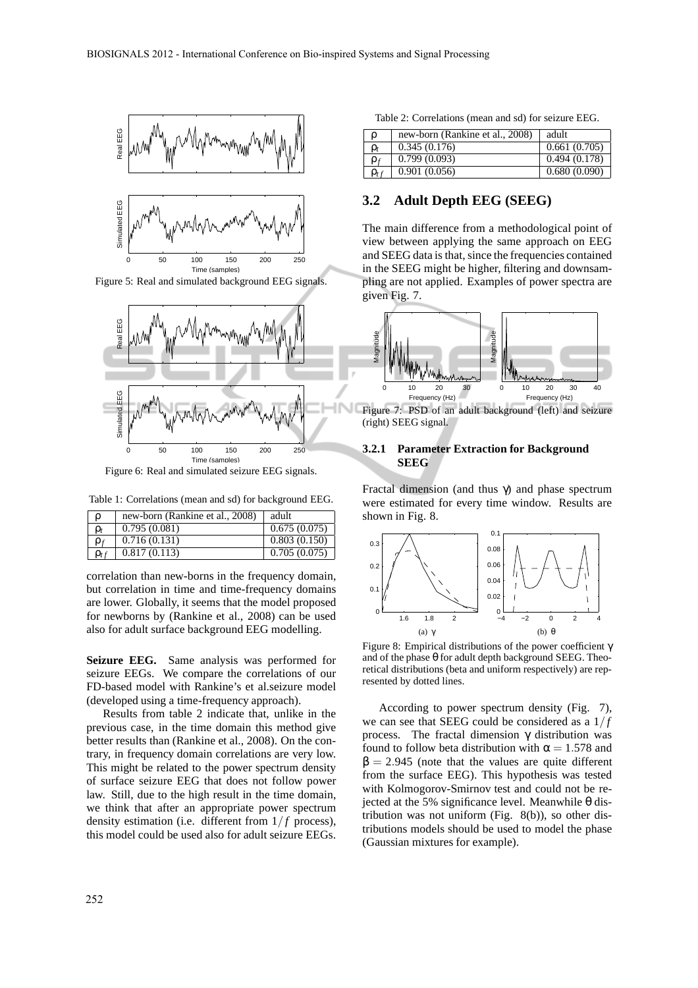

Figure 5: Real and simulated background EEG signals.



Figure 6: Real and simulated seizure EEG signals.

Table 1: Correlations (mean and sd) for background EEG.

| $\rho$      | new-born (Rankine et al., 2008) | adult        |
|-------------|---------------------------------|--------------|
| $\rho_t$    | 0.795(0.081)                    | 0.675(0.075) |
| $\rho_f$    | 0.716(0.131)                    | 0.803(0.150) |
| $\rho_{tf}$ | 0.817(0.113)                    | 0.705(0.075) |

correlation than new-borns in the frequency domain, but correlation in time and time-frequency domains are lower. Globally, it seems that the model proposed for newborns by (Rankine et al., 2008) can be used also for adult surface background EEG modelling.

**Seizure EEG.** Same analysis was performed for seizure EEGs. We compare the correlations of our FD-based model with Rankine's et al.seizure model (developed using a time-frequency approach).

Results from table 2 indicate that, unlike in the previous case, in the time domain this method give better results than (Rankine et al., 2008). On the contrary, in frequency domain correlations are very low. This might be related to the power spectrum density of surface seizure EEG that does not follow power law. Still, due to the high result in the time domain, we think that after an appropriate power spectrum density estimation (i.e. different from  $1/f$  process), this model could be used also for adult seizure EEGs.

| Table 2: Correlations (mean and sd) for seizure EEG. |  |  |
|------------------------------------------------------|--|--|
|------------------------------------------------------|--|--|

| ρ           | new-born (Rankine et al., 2008) | adult        |
|-------------|---------------------------------|--------------|
| $\rho_t$    | 0.345(0.176)                    | 0.661(0.705) |
| $\rho_f$    | 0.799(0.093)                    | 0.494(0.178) |
| $\rho_{tf}$ | 0.901(0.056)                    | 0.680(0.090) |

### **3.2 Adult Depth EEG (SEEG)**

The main difference from a methodological point of view between applying the same approach on EEG and SEEG data is that, since the frequencies contained in the SEEG might be higher, filtering and downsampling are not applied. Examples of power spectra are given Fig. 7.



(right) SEEG signal.

#### **3.2.1 Parameter Extraction for Background SEEG**

Fractal dimension (and thus γ) and phase spectrum were estimated for every time window. Results are shown in Fig. 8.



Figure 8: Empirical distributions of the power coefficient γ and of the phase  $\theta$  for adult depth background SEEG. Theoretical distributions (beta and uniform respectively) are represented by dotted lines.

According to power spectrum density (Fig. 7), we can see that SEEG could be considered as a  $1/f$ process. The fractal dimension γ distribution was found to follow beta distribution with  $\alpha = 1.578$  and  $β = 2.945$  (note that the values are quite different from the surface EEG). This hypothesis was tested with Kolmogorov-Smirnov test and could not be rejected at the 5% significance level. Meanwhile θ distribution was not uniform (Fig. 8(b)), so other distributions models should be used to model the phase (Gaussian mixtures for example).